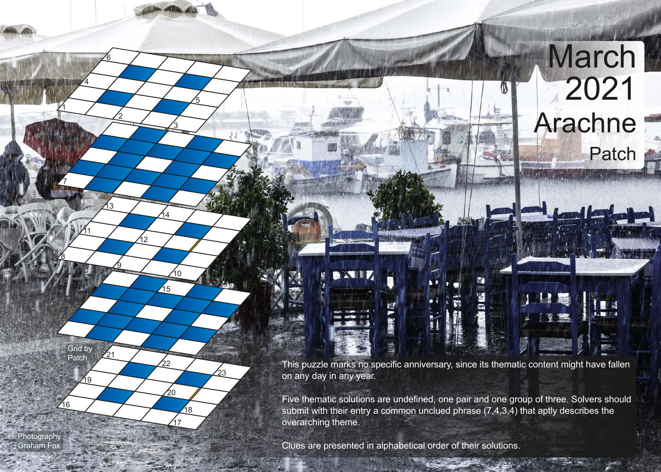This puzzle marks no specific anniversary, since its thematic content might have fallen on any day in any year.

 $\blacksquare$ 

**March** 

Patch

2021

Arachne

Five thematic solutions are undefined, one pair and one group of three. Solvers should submit with their entry a common unclued phrase (7,4,3,4) that aptly describes the overarching theme.

Clues are presented in alphabetical order of their solutions.

1

7

8

<u> 11</u>

16

**Photography** Graham Fo

19

Grid by Patch

4

2

9

13

21

6

3

 $\sqrt{15}$ 

14

.<br>12

 $\overline{10}$ 

22

 $\frac{1}{20}$ 

17

18

.<br>23

5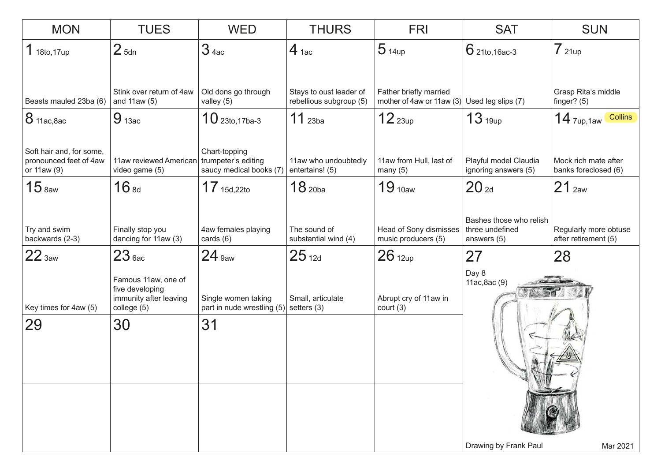| <b>MON</b>                                                        | <b>TUES</b>                                                                     | <b>WED</b>                                                        | <b>THURS</b>                                       | <b>FRI</b>                                                                 | <b>SAT</b>                                                  | <b>SUN</b>                                    |
|-------------------------------------------------------------------|---------------------------------------------------------------------------------|-------------------------------------------------------------------|----------------------------------------------------|----------------------------------------------------------------------------|-------------------------------------------------------------|-----------------------------------------------|
| 1 18to, 17up                                                      | 2 <sub>5dn</sub>                                                                | 3 <sub>4ac</sub>                                                  | $4$ 1ac                                            | 5 <sub>14up</sub>                                                          | $6$ 21to, 16ac-3                                            | 721up                                         |
| Beasts mauled 23ba (6)                                            | Stink over return of 4aw<br>and $11aw(5)$                                       | Old dons go through<br>valley (5)                                 | Stays to oust leader of<br>rebellious subgroup (5) | Father briefly married<br>mother of 4aw or 11aw $(3)$ Used leg slips $(7)$ |                                                             | Grasp Rita's middle<br>finger? $(5)$          |
| 8 11ac, 8ac                                                       | $9_{13ac}$                                                                      | $10$ 23to, 17ba-3                                                 | $11$ 23ba                                          | 12 <sub>23up</sub>                                                         | 13 <sub>19up</sub>                                          | $14$ $_{7up,1aw}$<br>Collins                  |
| Soft hair and, for some,<br>pronounced feet of 4aw<br>or 11aw (9) | 11aw reviewed American<br>video game (5)                                        | Chart-topping<br>trumpeter's editing<br>saucy medical books (7)   | 11aw who undoubtedly<br>entertains! (5)            | 11aw from Hull, last of<br>many $(5)$                                      | Playful model Claudia<br>ignoring answers (5)               | Mock rich mate after<br>banks foreclosed (6)  |
| $15$ $_{8}$                                                       | 16s                                                                             | $17_{15d,22to}$                                                   | 18 <sub>20ba</sub>                                 | 19 <sub>10aw</sub>                                                         | $20z_d$                                                     | 21 <sub>2aw</sub>                             |
| Try and swim<br>backwards (2-3)                                   | Finally stop you<br>dancing for 11aw (3)                                        | 4aw females playing<br>cards $(6)$                                | The sound of<br>substantial wind (4)               | Head of Sony dismisses<br>music producers (5)                              | Bashes those who relish<br>three undefined<br>answers (5)   | Regularly more obtuse<br>after retirement (5) |
| 22 <sub>3aw</sub>                                                 | 23 <sub>6ac</sub>                                                               | $24$ 9aw                                                          | $25_{12d}$                                         | $26$ 12up                                                                  | 27                                                          | 28                                            |
| Key times for 4aw (5)                                             | Famous 11aw, one of<br>five developing<br>immunity after leaving<br>college (5) | Single women taking<br>part in nude wrestling $(5)$ setters $(3)$ | Small, articulate                                  | Abrupt cry of 11aw in<br>court (3)                                         | Day 8<br>11ac, 8ac (9)<br>Drawing by Frank Paul<br>Mar 2021 |                                               |
| 29                                                                | 30                                                                              | 31                                                                |                                                    |                                                                            |                                                             |                                               |
|                                                                   |                                                                                 |                                                                   |                                                    |                                                                            |                                                             |                                               |